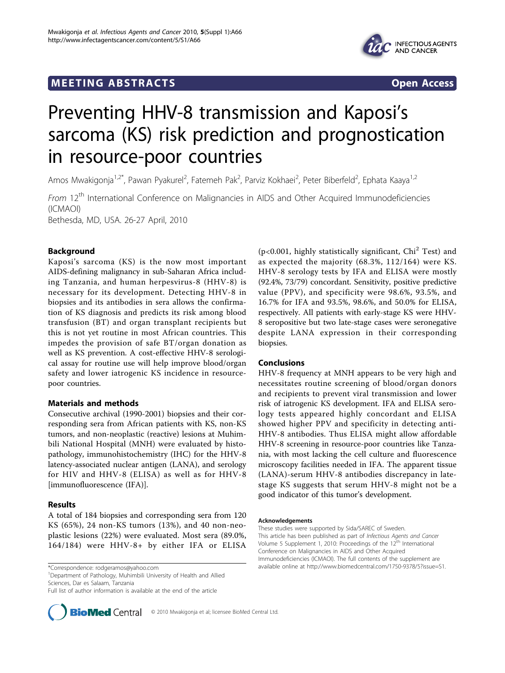## **MEETING ABSTRACTS** And the state of the state of the state of the state of the state of the state of the state of the state of the state of the state of the state of the state of the state of the state of the state of the



# Preventing HHV-8 transmission and Kaposi's sarcoma (KS) risk prediction and prognostication in resource-poor countries

Amos Mwakigonja<sup>1,2\*</sup>, Pawan Pyakurel<sup>2</sup>, Fatemeh Pak<sup>2</sup>, Parviz Kokhaei<sup>2</sup>, Peter Biberfeld<sup>2</sup>, Ephata Kaaya<sup>1,2</sup>

From 12<sup>th</sup> International Conference on Malignancies in AIDS and Other Acquired Immunodeficiencies (ICMAOI)

Bethesda, MD, USA. 26-27 April, 2010

## Background

Kaposi's sarcoma (KS) is the now most important AIDS-defining malignancy in sub-Saharan Africa including Tanzania, and human herpesvirus-8 (HHV-8) is necessary for its development. Detecting HHV-8 in biopsies and its antibodies in sera allows the confirmation of KS diagnosis and predicts its risk among blood transfusion (BT) and organ transplant recipients but this is not yet routine in most African countries. This impedes the provision of safe BT/organ donation as well as KS prevention. A cost-effective HHV-8 serological assay for routine use will help improve blood/organ safety and lower iatrogenic KS incidence in resourcepoor countries.

### Materials and methods

Consecutive archival (1990-2001) biopsies and their corresponding sera from African patients with KS, non-KS tumors, and non-neoplastic (reactive) lesions at Muhimbili National Hospital (MNH) were evaluated by histopathology, immunohistochemistry (IHC) for the HHV-8 latency-associated nuclear antigen (LANA), and serology for HIV and HHV-8 (ELISA) as well as for HHV-8 [immunofluorescence (IFA)].

## Results

A total of 184 biopsies and corresponding sera from 120 KS (65%), 24 non-KS tumors (13%), and 40 non-neoplastic lesions (22%) were evaluated. Most sera (89.0%, 164/184) were HHV-8+ by either IFA or ELISA

<sup>1</sup>Department of Pathology, Muhimbili University of Health and Allied Sciences, Dar es Salaam, Tanzania

Full list of author information is available at the end of the article



( $p<0.001$ , highly statistically significant,  $Chi<sup>2</sup> Test$ ) and as expected the majority (68.3%, 112/164) were KS. HHV-8 serology tests by IFA and ELISA were mostly (92.4%, 73/79) concordant. Sensitivity, positive predictive value (PPV), and specificity were 98.6%, 93.5%, and 16.7% for IFA and 93.5%, 98.6%, and 50.0% for ELISA, respectively. All patients with early-stage KS were HHV-8 seropositive but two late-stage cases were seronegative despite LANA expression in their corresponding biopsies.

### Conclusions

HHV-8 frequency at MNH appears to be very high and necessitates routine screening of blood/organ donors and recipients to prevent viral transmission and lower risk of iatrogenic KS development. IFA and ELISA serology tests appeared highly concordant and ELISA showed higher PPV and specificity in detecting anti-HHV-8 antibodies. Thus ELISA might allow affordable HHV-8 screening in resource-poor countries like Tanzania, with most lacking the cell culture and fluorescence microscopy facilities needed in IFA. The apparent tissue (LANA)-serum HHV-8 antibodies discrepancy in latestage KS suggests that serum HHV-8 might not be a good indicator of this tumor's development.

#### Acknowledgements

These studies were supported by Sida/SAREC of Sweden. This article has been published as part of Infectious Agents and Cancer Volume 5 Supplement 1, 2010: Proceedings of the 12<sup>th</sup> International Conference on Malignancies in AIDS and Other Acquired Immunodeficiencies (ICMAOI). The full contents of the supplement are available online at [http://www.biomedcentral.com/1750-9378/5?issue=S1.](http://www.biomedcentral.com/1750-9378/5?issue=S1) \*Correspondence: [rodgeramos@yahoo.com](mailto:rodgeramos@yahoo.com)